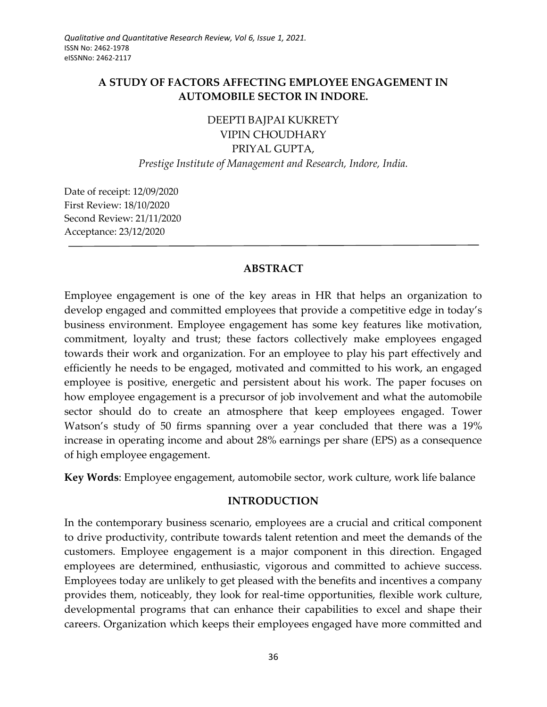# **A STUDY OF FACTORS AFFECTING EMPLOYEE ENGAGEMENT IN AUTOMOBILE SECTOR IN INDORE.**

# DEEPTI BAJPAI KUKRETY VIPIN CHOUDHARY PRIYAL GUPTA, *Prestige Institute of Management and Research, Indore, India.*

Date of receipt: 12/09/2020 First Review: 18/10/2020 Second Review: 21/11/2020 Acceptance: 23/12/2020

### **ABSTRACT**

Employee engagement is one of the key areas in HR that helps an organization to develop engaged and committed employees that provide a competitive edge in today's business environment. Employee engagement has some key features like motivation, commitment, loyalty and trust; these factors collectively make employees engaged towards their work and organization. For an employee to play his part effectively and efficiently he needs to be engaged, motivated and committed to his work, an engaged employee is positive, energetic and persistent about his work. The paper focuses on how employee engagement is a precursor of job involvement and what the automobile sector should do to create an atmosphere that keep employees engaged. Tower Watson's study of 50 firms spanning over a year concluded that there was a 19% increase in operating income and about 28% earnings per share (EPS) as a consequence of high employee engagement.

**Key Words**: Employee engagement, automobile sector, work culture, work life balance

### **INTRODUCTION**

In the contemporary business scenario, employees are a crucial and critical component to drive productivity, contribute towards talent retention and meet the demands of the customers. Employee engagement is a major component in this direction. Engaged employees are determined, enthusiastic, vigorous and committed to achieve success. Employees today are unlikely to get pleased with the benefits and incentives a company provides them, noticeably, they look for real-time opportunities, flexible work culture, developmental programs that can enhance their capabilities to excel and shape their careers. Organization which keeps their employees engaged have more committed and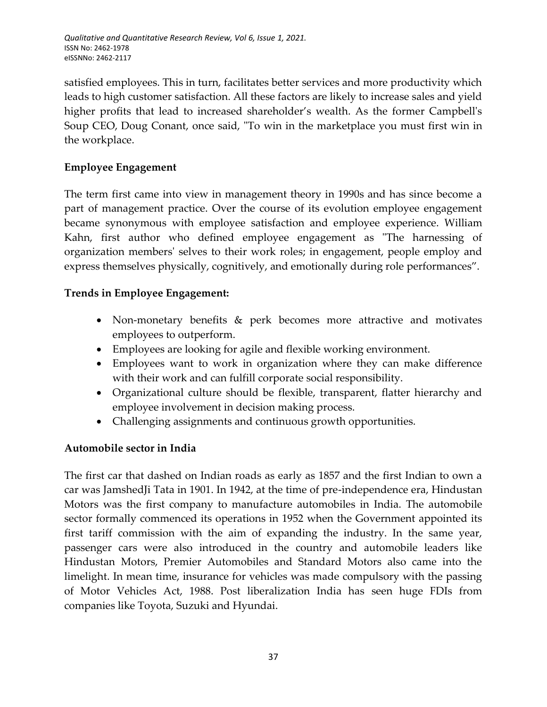satisfied employees. This in turn, facilitates better services and more productivity which leads to high customer satisfaction. All these factors are likely to increase sales and yield higher profits that lead to increased shareholder's wealth. As the former Campbell's Soup CEO, Doug Conant, once said, "To win in the marketplace you must first win in the workplace.

## **Employee Engagement**

The term first came into view in management theory in 1990s and has since become a part of management practice. Over the course of its evolution employee engagement became synonymous with employee satisfaction and employee experience. William Kahn, first author who defined employee engagement as "The harnessing of organization members' selves to their work roles; in engagement, people employ and express themselves physically, cognitively, and emotionally during role performances".

### **Trends in Employee Engagement:**

- Non-monetary benefits & perk becomes more attractive and motivates employees to outperform.
- Employees are looking for agile and flexible working environment.
- Employees want to work in organization where they can make difference with their work and can fulfill corporate social responsibility.
- Organizational culture should be flexible, transparent, flatter hierarchy and employee involvement in decision making process.
- Challenging assignments and continuous growth opportunities.

## **Automobile sector in India**

The first car that dashed on Indian roads as early as 1857 and the first Indian to own a car was JamshedJi Tata in 1901. In 1942, at the time of pre-independence era, Hindustan Motors was the first company to manufacture automobiles in India. The automobile sector formally commenced its operations in 1952 when the Government appointed its first tariff commission with the aim of expanding the industry. In the same year, passenger cars were also introduced in the country and automobile leaders like Hindustan Motors, Premier Automobiles and Standard Motors also came into the limelight. In mean time, insurance for vehicles was made compulsory with the passing of Motor Vehicles Act, 1988. Post liberalization India has seen huge FDIs from companies like Toyota, Suzuki and Hyundai.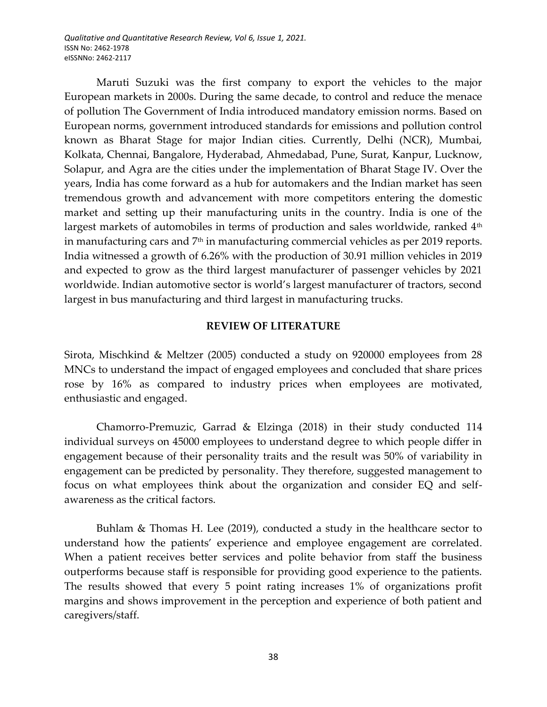*Qualitative and Quantitative Research Review, Vol 6, Issue 1, 2021.* ISSN No: 2462-1978 eISSNNo: 2462-2117

Maruti Suzuki was the first company to export the vehicles to the major European markets in 2000s. During the same decade, to control and reduce the menace of pollution The Government of India introduced mandatory emission norms. Based on European norms, government introduced standards for emissions and pollution control known as Bharat Stage for major Indian cities. Currently, Delhi (NCR), Mumbai, Kolkata, Chennai, Bangalore, Hyderabad, Ahmedabad, Pune, Surat, Kanpur, Lucknow, Solapur, and Agra are the cities under the implementation of Bharat Stage IV. Over the years, India has come forward as a hub for automakers and the Indian market has seen tremendous growth and advancement with more competitors entering the domestic market and setting up their manufacturing units in the country. India is one of the largest markets of automobiles in terms of production and sales worldwide, ranked 4<sup>th</sup> in manufacturing cars and  $7<sup>th</sup>$  in manufacturing commercial vehicles as per 2019 reports. India witnessed a growth of 6.26% with the production of 30.91 million vehicles in 2019 and expected to grow as the third largest manufacturer of passenger vehicles by 2021 worldwide. Indian automotive sector is world's largest manufacturer of tractors, second largest in bus manufacturing and third largest in manufacturing trucks.

#### **REVIEW OF LITERATURE**

Sirota, Mischkind & Meltzer (2005) conducted a study on 920000 employees from 28 MNCs to understand the impact of engaged employees and concluded that share prices rose by 16% as compared to industry prices when employees are motivated, enthusiastic and engaged.

Chamorro-Premuzic, Garrad & Elzinga (2018) in their study conducted 114 individual surveys on 45000 employees to understand degree to which people differ in engagement because of their personality traits and the result was 50% of variability in engagement can be predicted by personality. They therefore, suggested management to focus on what employees think about the organization and consider EQ and selfawareness as the critical factors.

Buhlam & Thomas H. Lee (2019), conducted a study in the healthcare sector to understand how the patients' experience and employee engagement are correlated. When a patient receives better services and polite behavior from staff the business outperforms because staff is responsible for providing good experience to the patients. The results showed that every 5 point rating increases 1% of organizations profit margins and shows improvement in the perception and experience of both patient and caregivers/staff.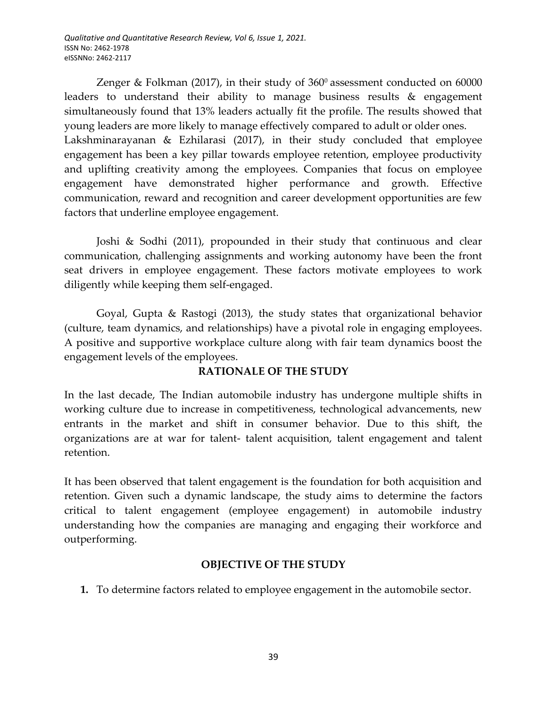Zenger & Folkman (2017), in their study of  $360^{\circ}$  assessment conducted on 60000 leaders to understand their ability to manage business results & engagement simultaneously found that 13% leaders actually fit the profile. The results showed that young leaders are more likely to manage effectively compared to adult or older ones. Lakshminarayanan & Ezhilarasi (2017), in their study concluded that employee engagement has been a key pillar towards employee retention, employee productivity and uplifting creativity among the employees. Companies that focus on employee engagement have demonstrated higher performance and growth. Effective communication, reward and recognition and career development opportunities are few factors that underline employee engagement.

Joshi & Sodhi (2011), propounded in their study that continuous and clear communication, challenging assignments and working autonomy have been the front seat drivers in employee engagement. These factors motivate employees to work diligently while keeping them self-engaged.

Goyal, Gupta & Rastogi (2013), the study states that organizational behavior (culture, team dynamics, and relationships) have a pivotal role in engaging employees. A positive and supportive workplace culture along with fair team dynamics boost the engagement levels of the employees.

## **RATIONALE OF THE STUDY**

In the last decade, The Indian automobile industry has undergone multiple shifts in working culture due to increase in competitiveness, technological advancements, new entrants in the market and shift in consumer behavior. Due to this shift, the organizations are at war for talent- talent acquisition, talent engagement and talent retention.

It has been observed that talent engagement is the foundation for both acquisition and retention. Given such a dynamic landscape, the study aims to determine the factors critical to talent engagement (employee engagement) in automobile industry understanding how the companies are managing and engaging their workforce and outperforming.

## **OBJECTIVE OF THE STUDY**

**1.** To determine factors related to employee engagement in the automobile sector.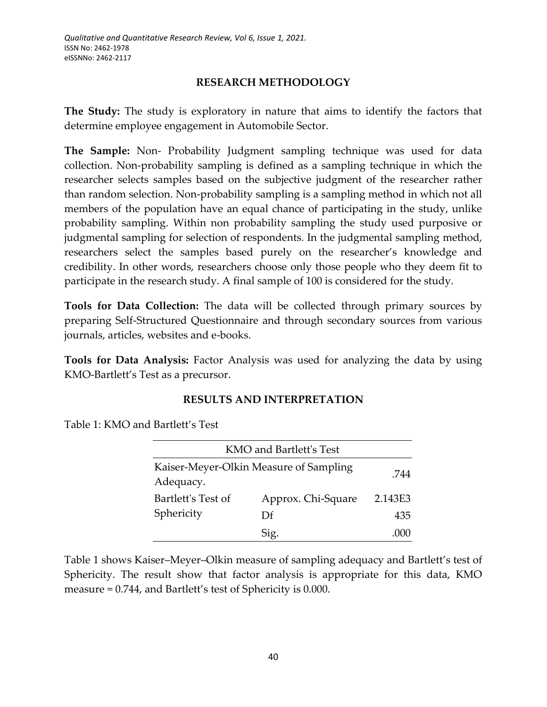### **RESEARCH METHODOLOGY**

**The Study:** The study is exploratory in nature that aims to identify the factors that determine employee engagement in Automobile Sector.

**The Sample:** Non- Probability Judgment sampling technique was used for data collection. Non-probability sampling is defined as a sampling technique in which the researcher selects samples based on the subjective judgment of the researcher rather than random selection. Non-probability sampling is a sampling method in which not all members of the population have an equal chance of participating in the study, unlike probability sampling. Within non probability sampling the study used purposive or judgmental sampling for selection of respondents. In the judgmental sampling method, researchers select the samples based purely on the researcher's knowledge and credibility. In other words, researchers choose only those people who they deem fit to participate in the research study. A final sample of 100 is considered for the study.

**Tools for Data Collection:** The data will be collected through primary sources by preparing Self-Structured Questionnaire and through secondary sources from various journals, articles, websites and e-books.

**Tools for Data Analysis:** Factor Analysis was used for analyzing the data by using KMO-Bartlett's Test as a precursor.

### **RESULTS AND INTERPRETATION**

Table 1: KMO and Bartlett's Test

| KMO and Bartlett's Test                             |                    |         |  |  |  |  |
|-----------------------------------------------------|--------------------|---------|--|--|--|--|
| Kaiser-Meyer-Olkin Measure of Sampling<br>Adequacy. | -744               |         |  |  |  |  |
| Bartlett's Test of<br>Sphericity                    | Approx. Chi-Square | 2.143E3 |  |  |  |  |
|                                                     | Df                 | 435     |  |  |  |  |
|                                                     | Sig.               |         |  |  |  |  |

Table 1 shows Kaiser–Meyer–Olkin measure of sampling adequacy and Bartlett's test of Sphericity. The result show that factor analysis is appropriate for this data, KMO measure = 0.744, and Bartlett's test of Sphericity is 0.000.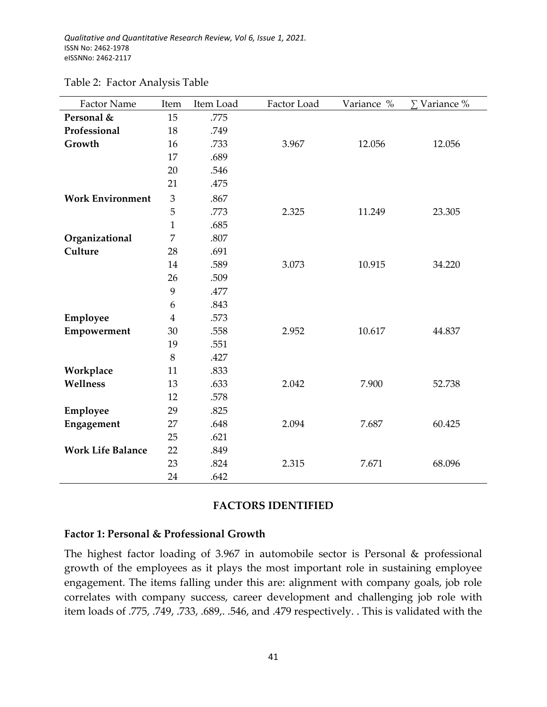| <b>Factor Name</b>       | Item           | Item Load | Factor Load | Variance % | $\Sigma$ Variance % |
|--------------------------|----------------|-----------|-------------|------------|---------------------|
| Personal &               | 15             | .775      |             |            |                     |
| Professional             | 18             | .749      |             |            |                     |
| Growth                   | 16             | .733      | 3.967       | 12.056     | 12.056              |
|                          | 17             | .689      |             |            |                     |
|                          | 20             | .546      |             |            |                     |
|                          | 21             | .475      |             |            |                     |
| <b>Work Environment</b>  | $\mathfrak{Z}$ | .867      |             |            |                     |
|                          | 5              | .773      | 2.325       | 11.249     | 23.305              |
|                          | $\mathbf{1}$   | .685      |             |            |                     |
| Organizational           | 7              | .807      |             |            |                     |
| Culture                  | 28             | .691      |             |            |                     |
|                          | 14             | .589      | 3.073       | 10.915     | 34.220              |
|                          | 26             | .509      |             |            |                     |
|                          | 9              | .477      |             |            |                     |
|                          | 6              | .843      |             |            |                     |
| Employee                 | $\overline{4}$ | .573      |             |            |                     |
| Empowerment              | 30             | .558      | 2.952       | 10.617     | 44.837              |
|                          | 19             | .551      |             |            |                     |
|                          | 8              | .427      |             |            |                     |
| Workplace                | 11             | .833      |             |            |                     |
| Wellness                 | 13             | .633      | 2.042       | 7.900      | 52.738              |
|                          | 12             | .578      |             |            |                     |
| Employee                 | 29             | .825      |             |            |                     |
| Engagement               | 27             | .648      | 2.094       | 7.687      | 60.425              |
|                          | 25             | .621      |             |            |                     |
| <b>Work Life Balance</b> | 22             | .849      |             |            |                     |
|                          | 23             | .824      | 2.315       | 7.671      | 68.096              |
|                          | 24             | .642      |             |            |                     |

#### Table 2: Factor Analysis Table

#### **FACTORS IDENTIFIED**

#### **Factor 1: Personal & Professional Growth**

The highest factor loading of 3.967 in automobile sector is Personal & professional growth of the employees as it plays the most important role in sustaining employee engagement. The items falling under this are: alignment with company goals, job role correlates with company success, career development and challenging job role with item loads of .775, .749, .733, .689,. .546, and .479 respectively. . This is validated with the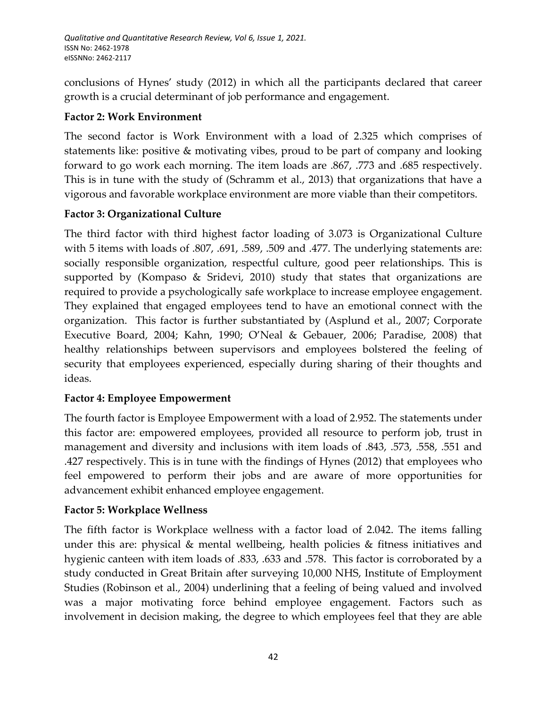conclusions of Hynes' study (2012) in which all the participants declared that career growth is a crucial determinant of job performance and engagement.

## **Factor 2: Work Environment**

The second factor is Work Environment with a load of 2.325 which comprises of statements like: positive & motivating vibes, proud to be part of company and looking forward to go work each morning. The item loads are .867, .773 and .685 respectively. This is in tune with the study of (Schramm et al., 2013) that organizations that have a vigorous and favorable workplace environment are more viable than their competitors.

## **Factor 3: Organizational Culture**

The third factor with third highest factor loading of 3.073 is Organizational Culture with 5 items with loads of .807, .691, .589, .509 and .477. The underlying statements are: socially responsible organization, respectful culture, good peer relationships. This is supported by (Kompaso & Sridevi, 2010) study that states that organizations are required to provide a psychologically safe workplace to increase employee engagement. They explained that engaged employees tend to have an emotional connect with the organization. This factor is further substantiated by (Asplund et al., 2007; Corporate Executive Board, 2004; Kahn, 1990; O'Neal & Gebauer, 2006; Paradise, 2008) that healthy relationships between supervisors and employees bolstered the feeling of security that employees experienced, especially during sharing of their thoughts and ideas.

## **Factor 4: Employee Empowerment**

The fourth factor is Employee Empowerment with a load of 2.952. The statements under this factor are: empowered employees, provided all resource to perform job, trust in management and diversity and inclusions with item loads of .843, .573, .558, .551 and .427 respectively. This is in tune with the findings of Hynes (2012) that employees who feel empowered to perform their jobs and are aware of more opportunities for advancement exhibit enhanced employee engagement.

## **Factor 5: Workplace Wellness**

The fifth factor is Workplace wellness with a factor load of 2.042. The items falling under this are: physical & mental wellbeing, health policies & fitness initiatives and hygienic canteen with item loads of .833, .633 and .578. This factor is corroborated by a study conducted in Great Britain after surveying 10,000 NHS, Institute of Employment Studies (Robinson et al., 2004) underlining that a feeling of being valued and involved was a major motivating force behind employee engagement. Factors such as involvement in decision making, the degree to which employees feel that they are able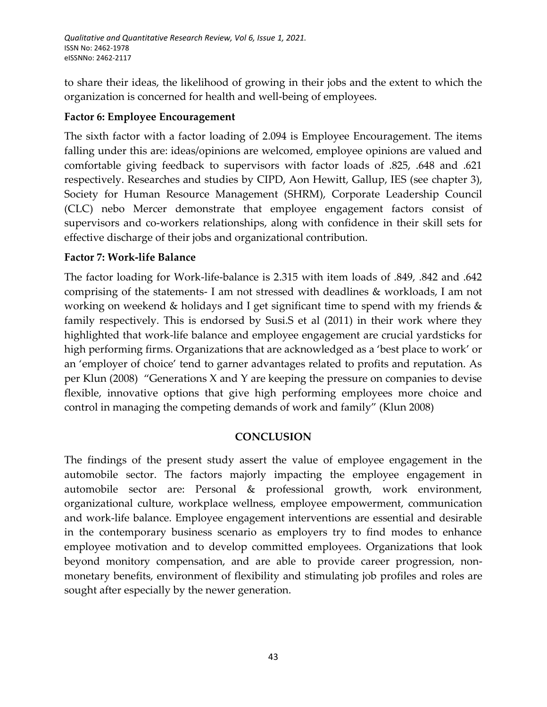to share their ideas, the likelihood of growing in their jobs and the extent to which the organization is concerned for health and well-being of employees.

## **Factor 6: Employee Encouragement**

The sixth factor with a factor loading of 2.094 is Employee Encouragement. The items falling under this are: ideas/opinions are welcomed, employee opinions are valued and comfortable giving feedback to supervisors with factor loads of .825, .648 and .621 respectively. Researches and studies by CIPD, Aon Hewitt, Gallup, IES (see chapter 3), Society for Human Resource Management (SHRM), Corporate Leadership Council (CLC) nebo Mercer demonstrate that employee engagement factors consist of supervisors and co-workers relationships, along with confidence in their skill sets for effective discharge of their jobs and organizational contribution.

### **Factor 7: Work-life Balance**

The factor loading for Work-life-balance is 2.315 with item loads of .849, .842 and .642 comprising of the statements- I am not stressed with deadlines & workloads, I am not working on weekend & holidays and I get significant time to spend with my friends & family respectively. This is endorsed by Susi.S et al (2011) in their work where they highlighted that work-life balance and employee engagement are crucial yardsticks for high performing firms. Organizations that are acknowledged as a 'best place to work' or an 'employer of choice' tend to garner advantages related to profits and reputation. As per Klun (2008) "Generations X and Y are keeping the pressure on companies to devise flexible, innovative options that give high performing employees more choice and control in managing the competing demands of work and family" (Klun 2008)

## **CONCLUSION**

The findings of the present study assert the value of employee engagement in the automobile sector. The factors majorly impacting the employee engagement in automobile sector are: Personal & professional growth, work environment, organizational culture, workplace wellness, employee empowerment, communication and work-life balance. Employee engagement interventions are essential and desirable in the contemporary business scenario as employers try to find modes to enhance employee motivation and to develop committed employees. Organizations that look beyond monitory compensation, and are able to provide career progression, nonmonetary benefits, environment of flexibility and stimulating job profiles and roles are sought after especially by the newer generation.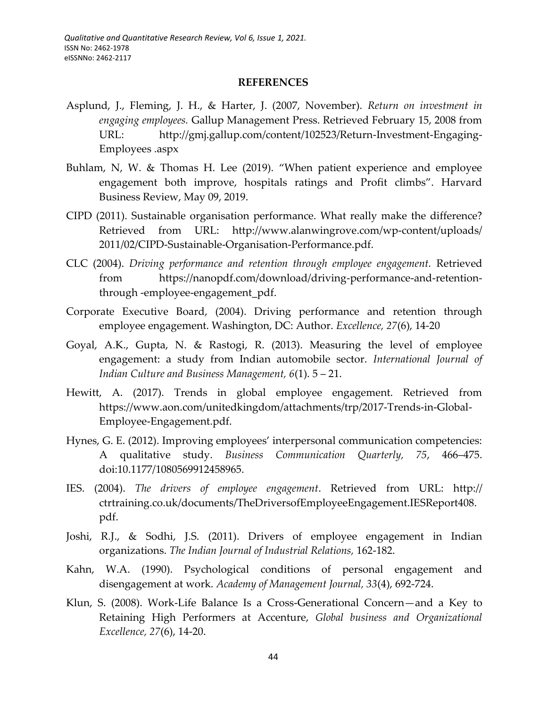#### **REFERENCES**

- Asplund, J., Fleming, J. H., & Harter, J. (2007, November). *Return on investment in engaging employees.* Gallup Management Press. Retrieved February 15, 2008 from URL: [http://gmj.gallup.com/content/102523/Return-Investment-Engaging-](http://gmj.gallup.com/content/102523/Return-Investment-Engaging-Employees%20.aspx)[Employees .aspx](http://gmj.gallup.com/content/102523/Return-Investment-Engaging-Employees%20.aspx)
- Buhlam, N, W. & Thomas H. Lee (2019). "When patient experience and employee engagement both improve, hospitals ratings and Profit climbs". Harvard Business Review, May 09, 2019.
- CIPD (2011). Sustainable organisation performance. What really make the difference? Retrieved from URL: [http://www.alanwingrove.com/wp-content/uploads/](http://www.alanwingrove.com/wp-content/uploads/%202011/02/CIPD-Sustainable-Organisation-Performance.pdf)  [2011/02/CIPD-Sustainable-Organisation-Performance.pdf.](http://www.alanwingrove.com/wp-content/uploads/%202011/02/CIPD-Sustainable-Organisation-Performance.pdf)
- CLC (2004). *Driving performance and retention through employee engagement.* Retrieved from [https://nanopdf.com/download/driving-performance-and-retention](https://nanopdf.com/download/driving-performance-and-retention-through-employee-engagement_pdf)through [-employee-engagement\\_pdf.](https://nanopdf.com/download/driving-performance-and-retention-through-employee-engagement_pdf)
- Corporate Executive Board, (2004). Driving performance and retention through employee engagement. Washington, DC: Author. *Excellence, 27*(6), 14-20
- Goyal, A.K., Gupta, N. & Rastogi, R. (2013). Measuring the level of employee engagement: a study from Indian automobile sector. *International Journal of Indian Culture and Business Management, 6*(1). 5 – 21.
- Hewitt, A. (2017). Trends in global employee engagement. Retrieved from [https://www.aon.com/unitedkingdom/attachments/trp/2017-Trends-in-Global-](https://www.aon.com/unitedkingdom/attachments/trp/2017-Trends-in-Global-Employee-Engagement.pdf)[Employee-Engagement.pdf.](https://www.aon.com/unitedkingdom/attachments/trp/2017-Trends-in-Global-Employee-Engagement.pdf)
- Hynes, G. E. (2012). Improving employees' interpersonal communication competencies: A qualitative study. *Business Communication Quarterly, 75*, 466–475. doi:10.1177/1080569912458965.
- IES. (2004). *The drivers of employee engagement*. Retrieved from URL: http:// ctrtraining.co.uk/documents/TheDriversofEmployeeEngagement.IESReport408. pdf.
- Joshi, R.J., & Sodhi, J.S. (2011). Drivers of employee engagement in Indian organizations. *The Indian Journal of Industrial Relations,* 162-182.
- Kahn, W.A. (1990). Psychological conditions of personal engagement and disengagement at work. *Academy of Management Journal, 33*(4), 692-724.
- Klun, S. (2008). Work-Life Balance Is a Cross-Generational Concern—and a Key to Retaining High Performers at Accenture, *Global business and Organizational Excellence, 27*(6), 14-20.